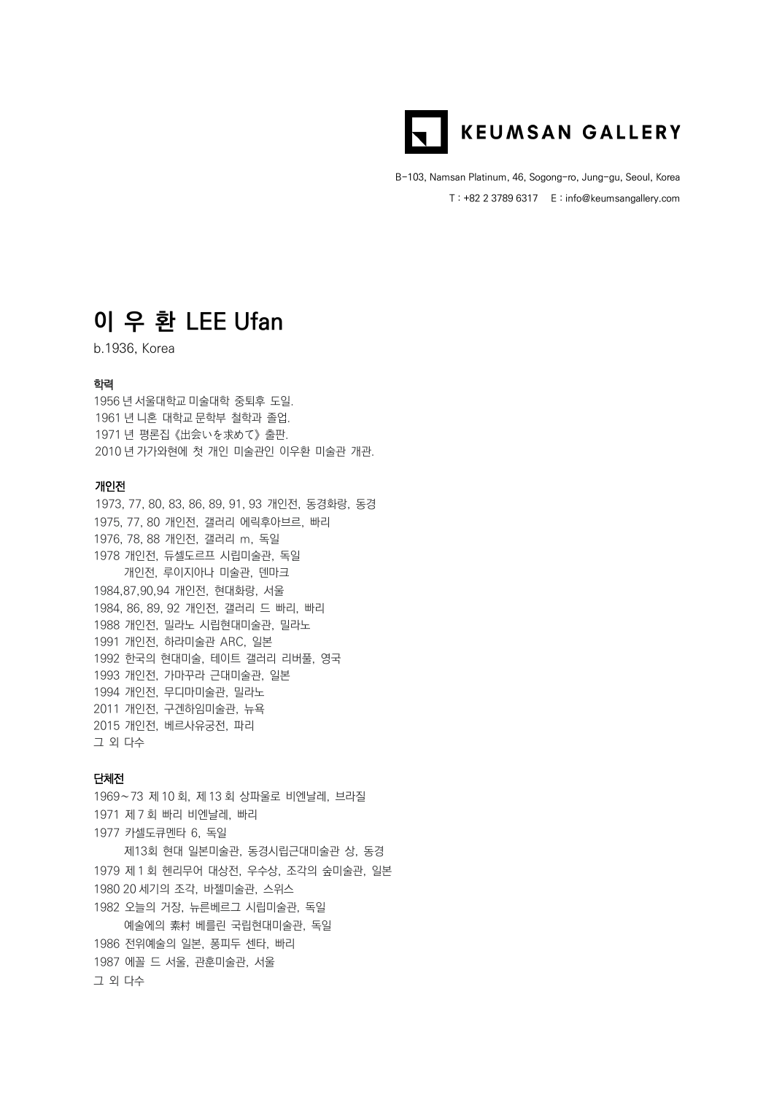

B-103, Namsan Platinum, 46, Sogong-ro, Jung-gu, Seoul, Korea T : +82 2 3789 6317 E : info@keumsangallery.com

## **이 우 환 LEE Ufan**

b.1936, Korea

### 학력

 년 서울대학교 미술대학 중퇴후 도일. 년 니혼 대학교 문학부 철학과 졸업. 년 평론집 《出会いを求めて》 출판. 년 가가와현에 첫 개인 미술관인 이우환 미술관 개관.

### 개인전

1973, 77, 80, 83, 86, 89, 91, 93 개인전, 동경화랑, 동경 1975, 77, 80 개인전, 갤러리 에릭후아브르, 빠리 1976, 78, 88 개인전, 갤러리 m, 독일 1978 개인전, 듀셀도르프 시립미술관, 독일 개인전, 루이지아나 미술관, 덴마크 1984,87,90,94 개인전, 현대화랑, 서울 1984, 86, 89, 92 개인전, 갤러리 드 빠리, 빠리 1988 개인전, 밀라노 시립현대미술관, 밀라노 1991 개인전, 하라미술관 ARC, 일본 1992 한국의 현대미술, 테이트 갤러리 리버풀, 영국 1993 개인전, 가마꾸라 근대미술관, 일본 1994 개인전, 무디마미술관, 밀라노 2011 개인전, 구겐하임미술관, 뉴욕 2015 개인전, 베르사유궁전, 파리 그 외 다수

### 단체전

∼73 제 10 회, 제 13 회 상파울로 비엔날레, 브라질 제 7 회 빠리 비엔날레, 빠리 카셀도큐멘타 6, 독일 제13회 현대 일본미술관, 동경시립근대미술관 상, 동경 제 1 회 헨리무어 대상전, 우수상, 조각의 숲미술관, 일본 1980 20 세기의 조각, 바젤미술관, 스위스 오늘의 거장, 뉴른베르그 시립미술관, 독일 예술에의 素村 베를린 국립현대미술관, 독일 전위예술의 일본, 퐁피두 센타, 빠리 에꼴 드 서울, 관훈미술관, 서울 그 외 다수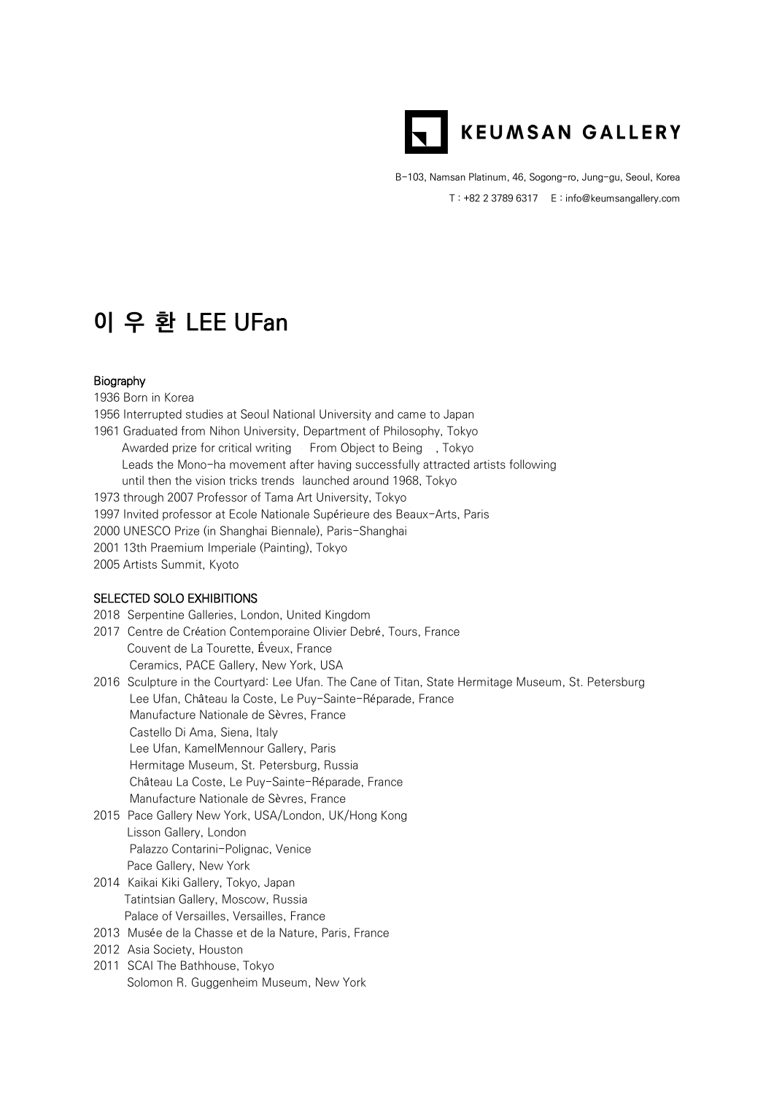

B-103, Namsan Platinum, 46, Sogong-ro, Jung-gu, Seoul, Korea T : +82 2 3789 6317 E : info@keumsangallery.com

# **이 우 환 LEE UFan**

### Biography

- 1936 Born in Korea
- 1956 Interrupted studies at Seoul National University and came to Japan
- 1961 Graduated from Nihon University, Department of Philosophy, Tokyo Awarded prize for critical writing From Object to Being , Tokyo Leads the Mono-ha movement after having successfully attracted artists following until then the vision tricks trends launched around 1968, Tokyo
- 1973 through 2007 Professor of Tama Art University, Tokyo
- 1997 Invited professor at Ecole Nationale Supérieure des Beaux-Arts, Paris
- 2000 UNESCO Prize (in Shanghai Biennale), Paris-Shanghai
- 2001 13th Praemium Imperiale (Painting), Tokyo
- 2005 Artists Summit, Kyoto

#### SELECTED SOLO EXHIBITIONS

- 2018 Serpentine Galleries, London, United Kingdom
- 2017 Centre de Création Contemporaine Olivier Debré, Tours, France Couvent de La Tourette, Éveux, France Ceramics, PACE Gallery, New York, USA
- 2016 Sculpture in the Courtyard: Lee Ufan. The Cane of Titan, State Hermitage Museum, St. Petersburg Lee Ufan, Château la Coste, Le Puy-Sainte-Réparade, France Manufacture Nationale de Sèvres, France Castello Di Ama, Siena, Italy Lee Ufan, KamelMennour Gallery, Paris Hermitage Museum, St. Petersburg, Russia Château La Coste, Le Puy-Sainte-Réparade, France Manufacture Nationale de Sèvres, France
- 2015 Pace Gallery New York, USA/London, UK/Hong Kong Lisson Gallery, London Palazzo Contarini-Polignac, Venice Pace Gallery, New York
- 2014 Kaikai Kiki Gallery, Tokyo, Japan Tatintsian Gallery, Moscow, Russia Palace of Versailles, Versailles, France
- 2013 Musée de la Chasse et de la Nature, Paris, France
- 2012 Asia Society, Houston
- 2011 SCAI The Bathhouse, Tokyo Solomon R. Guggenheim Museum, New York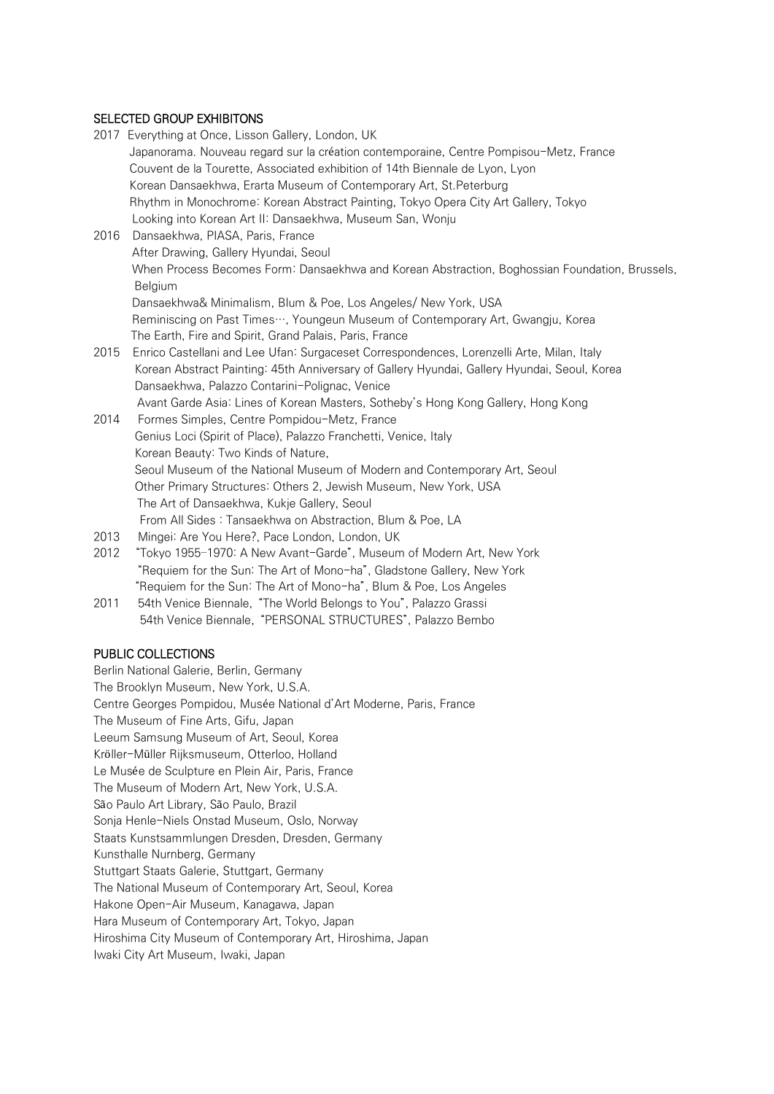## SELECTED GROUP EXHIBITONS

|      | 2017 Everything at Once, Lisson Gallery, London, UK                                            |
|------|------------------------------------------------------------------------------------------------|
|      | Japanorama. Nouveau regard sur la création contemporaine, Centre Pompisou-Metz, France         |
|      | Couvent de la Tourette, Associated exhibition of 14th Biennale de Lyon, Lyon                   |
|      | Korean Dansaekhwa, Erarta Museum of Contemporary Art, St. Peterburg                            |
|      | Rhythm in Monochrome: Korean Abstract Painting, Tokyo Opera City Art Gallery, Tokyo            |
|      | Looking into Korean Art II: Dansaekhwa, Museum San, Wonju                                      |
| 2016 | Dansaekhwa, PIASA, Paris, France                                                               |
|      | After Drawing, Gallery Hyundai, Seoul                                                          |
|      | When Process Becomes Form: Dansaekhwa and Korean Abstraction, Boghossian Foundation, Brussels, |
|      | Belgium                                                                                        |
|      | Dansaekhwa& Minimalism, Blum & Poe, Los Angeles/ New York, USA                                 |
|      | Reminiscing on Past Times…, Youngeun Museum of Contemporary Art, Gwangju, Korea                |
|      | The Earth, Fire and Spirit, Grand Palais, Paris, France                                        |
| 2015 | Enrico Castellani and Lee Ufan: Surgaceset Correspondences, Lorenzelli Arte, Milan, Italy      |
|      | Korean Abstract Painting: 45th Anniversary of Gallery Hyundai, Gallery Hyundai, Seoul, Korea   |
|      | Dansaekhwa, Palazzo Contarini-Polignac, Venice                                                 |
|      | Avant Garde Asia: Lines of Korean Masters, Sotheby's Hong Kong Gallery, Hong Kong              |
| 2014 | Formes Simples, Centre Pompidou-Metz, France                                                   |
|      | Genius Loci (Spirit of Place), Palazzo Franchetti, Venice, Italy                               |
|      | Korean Beauty: Two Kinds of Nature,                                                            |
|      | Seoul Museum of the National Museum of Modern and Contemporary Art, Seoul                      |
|      | Other Primary Structures: Others 2, Jewish Museum, New York, USA                               |
|      | The Art of Dansaekhwa, Kukje Gallery, Seoul                                                    |
|      | From All Sides: Tansaekhwa on Abstraction, Blum & Poe, LA                                      |
| 2013 | Mingei: Are You Here?, Pace London, London, UK                                                 |
| 2012 | "Tokyo 1955-1970: A New Avant-Garde", Museum of Modern Art, New York                           |
|      | "Requiem for the Sun: The Art of Mono-ha", Gladstone Gallery, New York                         |
|      | "Requiem for the Sun: The Art of Mono-ha", Blum & Poe, Los Angeles                             |
| 2011 | 54th Venice Biennale, "The World Belongs to You", Palazzo Grassi                               |
|      | 54th Venice Biennale, "PERSONAL STRUCTURES", Palazzo Bembo                                     |

### PUBLIC COLLECTIONS

Berlin National Galerie, Berlin, Germany The Brooklyn Museum, New York, U.S.A. Centre Georges Pompidou, Musée National d'Art Moderne, Paris, France The Museum of Fine Arts, Gifu, Japan Leeum Samsung Museum of Art, Seoul, Korea Kröller-Müller Rijksmuseum, Otterloo, Holland Le Musée de Sculpture en Plein Air, Paris, France The Museum of Modern Art, New York, U.S.A. São Paulo Art Library, São Paulo, Brazil Sonja Henle-Niels Onstad Museum, Oslo, Norway Staats Kunstsammlungen Dresden, Dresden, Germany Kunsthalle Nurnberg, Germany Stuttgart Staats Galerie, Stuttgart, Germany The National Museum of Contemporary Art, Seoul, Korea Hakone Open-Air Museum, Kanagawa, Japan Hara Museum of Contemporary Art, Tokyo, Japan Hiroshima City Museum of Contemporary Art, Hiroshima, Japan Iwaki City Art Museum, Iwaki, Japan